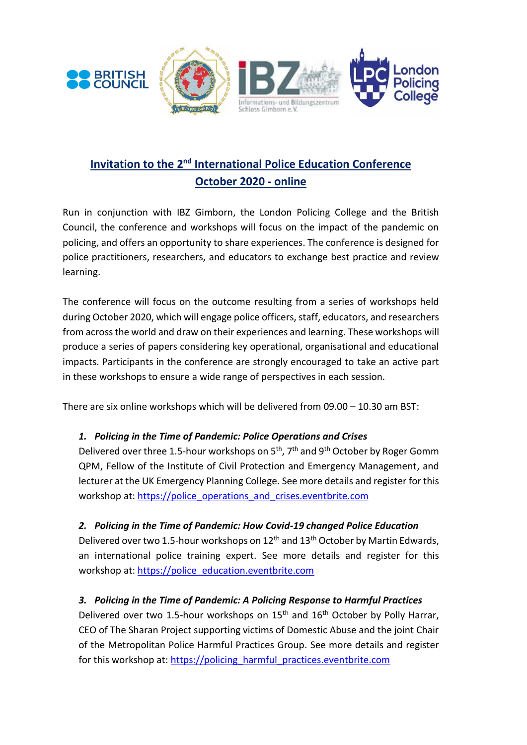

# **Invitation to the 2<sup>nd</sup> International Police Education Conference October 2020 - online**

Run in conjunction with IBZ Gimborn, the London Policing College and the British Council, the conference and workshops will focus on the impact of the pandemic on policing, and offers an opportunity to share experiences. The conference is designed for police practitioners, researchers, and educators to exchange best practice and review learning.

The conference will focus on the outcome resulting from a series of workshops held during October 2020, which will engage police officers, staff, educators, and researchers from across the world and draw on their experiences and learning. These workshops will produce a series of papers considering key operational, organisational and educational impacts. Participants in the conference are strongly encouraged to take an active part in these workshops to ensure a wide range of perspectives in each session.

There are six online workshops which will be delivered from 09.00 – 10.30 am BST:

# *1. Policing in the Time of Pandemic: Police Operations and Crises*

Delivered over three 1.5-hour workshops on 5<sup>th</sup>, 7<sup>th</sup> and 9<sup>th</sup> October by Roger Gomm QPM, Fellow of the Institute of Civil Protection and Emergency Management, and lecturer at the UK Emergency Planning College. See more details and register for this workshop at: [https://police\\_operations\\_and\\_crises.eventbrite.com](https://police_operations_and_crises.eventbrite.com/)

# *2. Policing in the Time of Pandemic: How Covid-19 changed Police Education*

Delivered over two 1.5-hour workshops on 12<sup>th</sup> and 13<sup>th</sup> October by Martin Edwards, an international police training expert. See more details and register for this workshop at: [https://police\\_education.eventbrite.com](https://police_education.eventbrite.com/)

# *3. Policing in the Time of Pandemic: A Policing Response to Harmful Practices*

Delivered over two 1.5-hour workshops on 15<sup>th</sup> and 16<sup>th</sup> October by Polly Harrar, CEO of The Sharan Project supporting victims of Domestic Abuse and the joint Chair of the Metropolitan Police Harmful Practices Group. See more details and register for this workshop at: [https://policing\\_harmful\\_practices.eventbrite.com](https://policing_harmful_practices.eventbrite.com/)